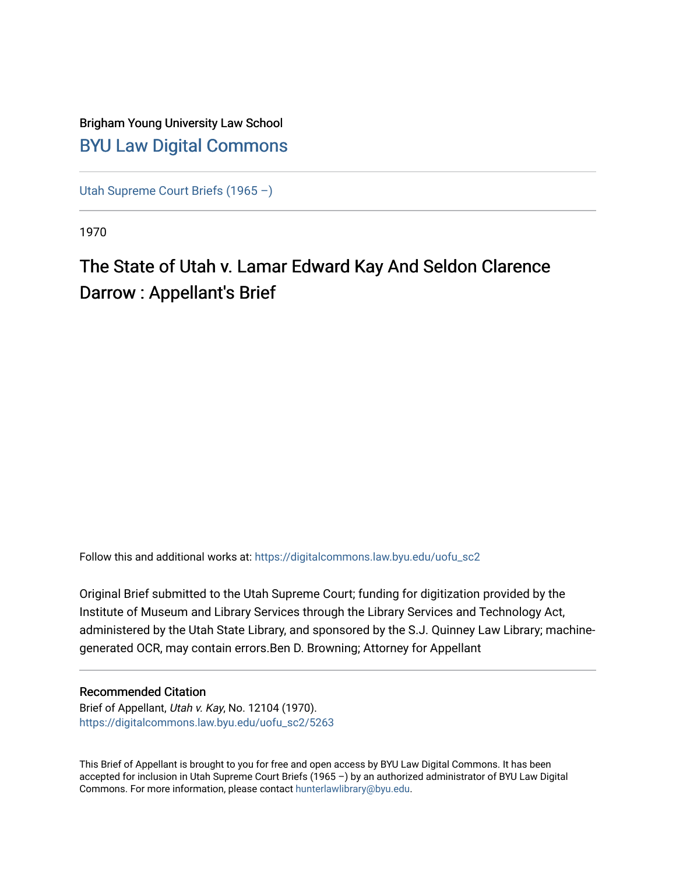## Brigham Young University Law School [BYU Law Digital Commons](https://digitalcommons.law.byu.edu/)

[Utah Supreme Court Briefs \(1965 –\)](https://digitalcommons.law.byu.edu/uofu_sc2)

1970

## The State of Utah v. Lamar Edward Kay And Seldon Clarence Darrow : Appellant's Brief

Follow this and additional works at: [https://digitalcommons.law.byu.edu/uofu\\_sc2](https://digitalcommons.law.byu.edu/uofu_sc2?utm_source=digitalcommons.law.byu.edu%2Fuofu_sc2%2F5263&utm_medium=PDF&utm_campaign=PDFCoverPages)

Original Brief submitted to the Utah Supreme Court; funding for digitization provided by the Institute of Museum and Library Services through the Library Services and Technology Act, administered by the Utah State Library, and sponsored by the S.J. Quinney Law Library; machinegenerated OCR, may contain errors.Ben D. Browning; Attorney for Appellant

#### Recommended Citation

Brief of Appellant, Utah v. Kay, No. 12104 (1970). [https://digitalcommons.law.byu.edu/uofu\\_sc2/5263](https://digitalcommons.law.byu.edu/uofu_sc2/5263?utm_source=digitalcommons.law.byu.edu%2Fuofu_sc2%2F5263&utm_medium=PDF&utm_campaign=PDFCoverPages) 

This Brief of Appellant is brought to you for free and open access by BYU Law Digital Commons. It has been accepted for inclusion in Utah Supreme Court Briefs (1965 –) by an authorized administrator of BYU Law Digital Commons. For more information, please contact [hunterlawlibrary@byu.edu](mailto:hunterlawlibrary@byu.edu).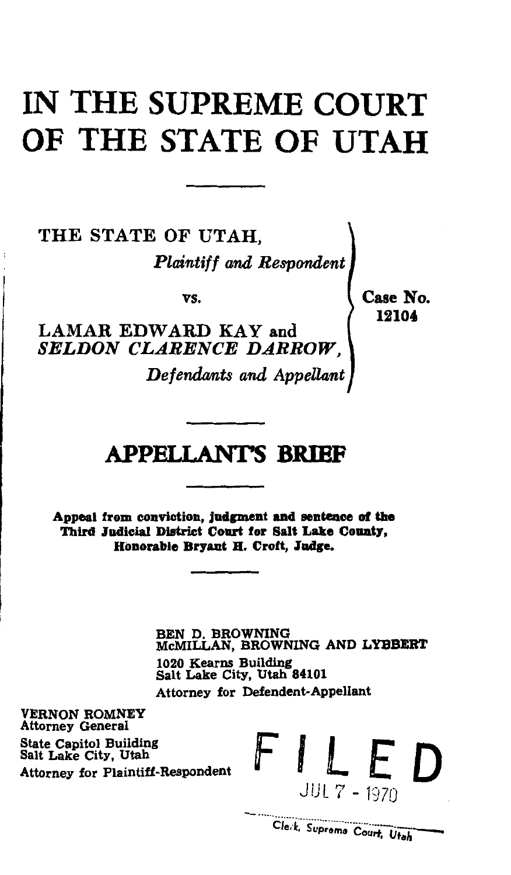## IN THE SUPREME COURT OF THE STATE OF UTAH

THE STATE OF UTAH, *Plaintiff and Respondent* 

vs.

LAMAR EDWARD KAY and **SELDON CLARENCE DARROW** 

*Defendants and Appellant* 

Case No. 12104'

## APPELLANTS BRIBF

Appeal from conviction, judgment and sentence of the Third Judicial District Court for Salt Lake County, Honorable Br7ant B. Croft, Judge.

> BEN D. BROWNING McMILLAN, BROWNING AND LYBBERT 1020 Kearns Building Salt Lake City, Utah 84101 Attorney for Defendent-Appellant

VERNON ROMNEY Attorney General State Capitol Building Attorney for Plaintiff-Respondent Salt Lake City,

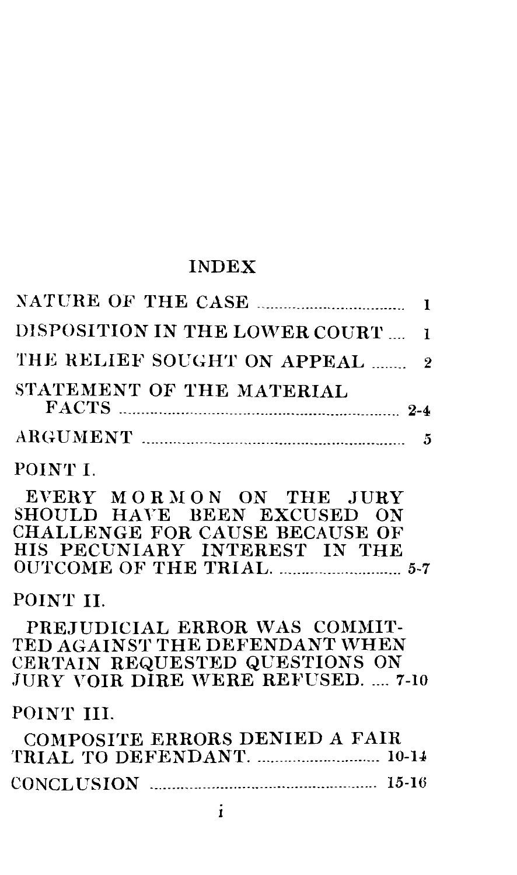## INDEX

| DISPOSITION IN THE LOWER COURT                                                                                                                 | L              |
|------------------------------------------------------------------------------------------------------------------------------------------------|----------------|
| THE RELIEF SOUGHT ON APPEAL                                                                                                                    | $\overline{2}$ |
| STATEMENT OF THE MATERIAL                                                                                                                      |                |
|                                                                                                                                                |                |
| POINT L                                                                                                                                        |                |
| EVERY MORMON ON THE JURY<br>SHOULD HAVE BEEN EXCUSED ON<br>CHALLENGE FOR CAUSE BECAUSE OF<br>HIS PECUNIARY INTEREST IN THE                     |                |
| POINT II.                                                                                                                                      |                |
| PREJUDICIAL ERROR WAS COMMIT-<br>TED AGAINST THE DEFENDANT WHEN<br>CERTAIN REQUESTED QUESTIONS ON<br><b>JURY VOIR DIRE WERE REFUSED.  7-10</b> |                |
| POINT III.                                                                                                                                     |                |
| COMPOSITE ERRORS DENIED A FAIR                                                                                                                 |                |
|                                                                                                                                                |                |

1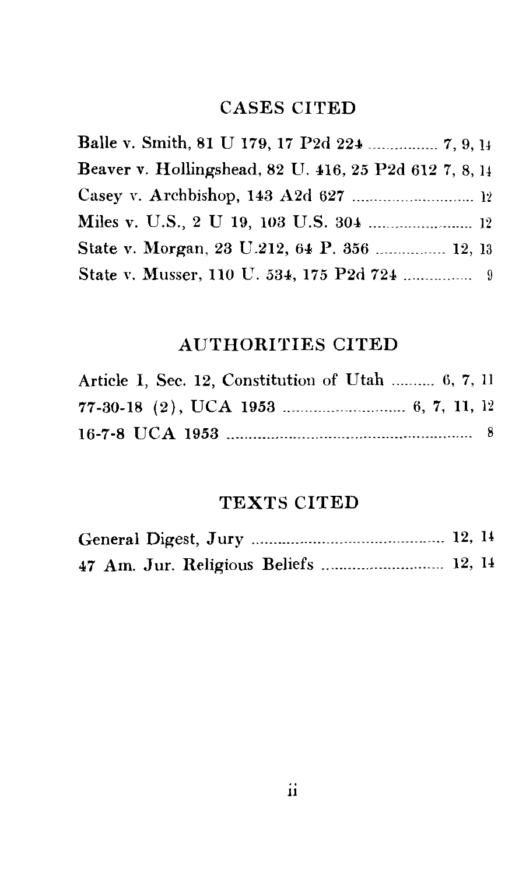### CASES CITED

| Balle v. Smith, 81 U 179, 17 P2d 224  7, 9, 14         |
|--------------------------------------------------------|
| Beaver v. Hollingshead, 82 U. 416, 25 P2d 612 7, 8, 14 |
|                                                        |
|                                                        |
| State v. Morgan, 23 U.212, 64 P. 356  12, 13           |
|                                                        |

### AUTHORITIES CITED

| Article I, Sec. 12, Constitution of Utah  6, 7, 11 |  |
|----------------------------------------------------|--|
|                                                    |  |
|                                                    |  |

## TEXTS CITED

|  |  | 47 Am. Jur. Religious Beliefs  12, 14 |  |
|--|--|---------------------------------------|--|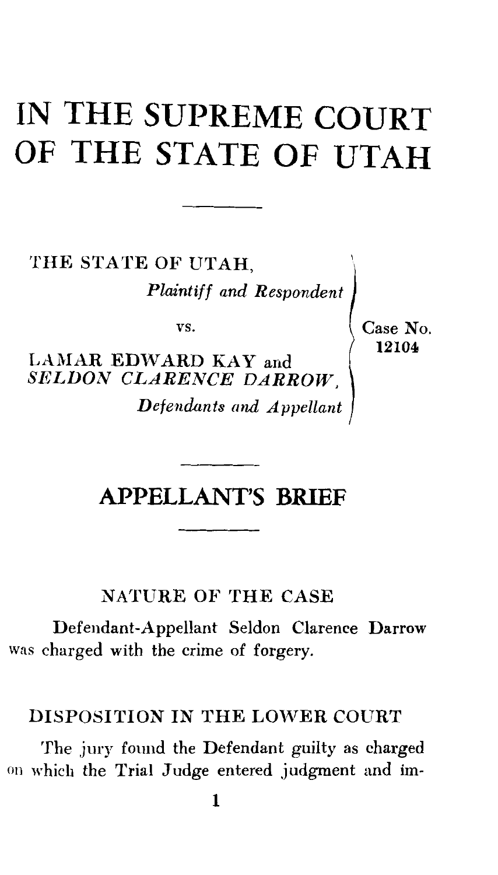# **IN THE SUPREME COURT OF THE STATE OF UTAH**

THE STATE OF UTAH, *Plaintiff and Respondent* 

vs.

LAMAR EDWARD KAY and *SELDON CLARENCE DARROW, Defendants and Appellant*  Case No. 12104

## **APPELLANT'S BRIEF**

#### NATURE OF THE CASE

Defendant-Appellant Seldon Clarence Darrow was charged with the crime of forgery.

#### DISPOSITION IN THE LOWER COURT

The jury found the Defendant guilty as charged on which the Trial Judge entered judgment and im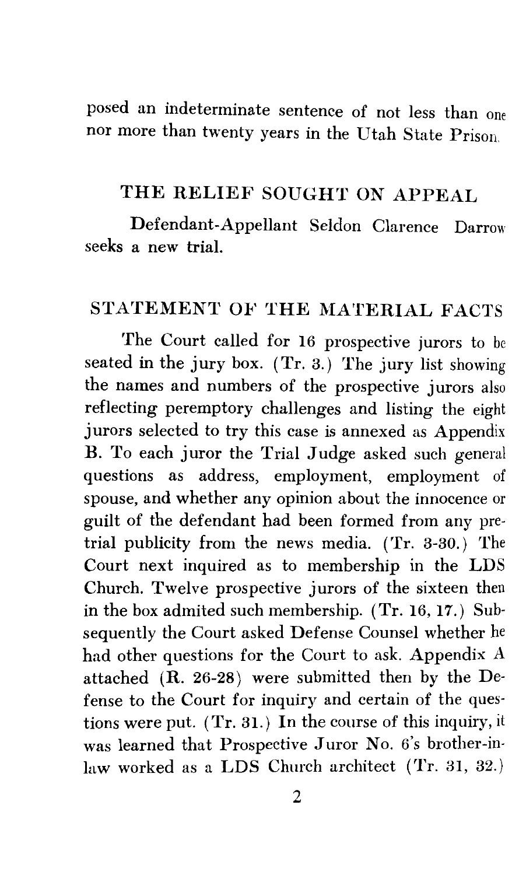posed an indeterminate sentence of not less than one nor more than twenty years in the Utah State Prison.

#### THE RELIEF SOUGHT ON APPEAL

Defendant-Appellant Seldon Clarence Darrow seeks a new trial.

#### STATEMENT OF THE MATERIAL FACTS

The Court called for 16 prospective jurors to be seated in the jury box. (Tr. 3.) The jury list showing the names and numbers of the prospective jurors also reflecting peremptory challenges and listing the eight jurors selected to try this case is annexed as Appendix B. To each juror the Trial Judge asked such general questions as address, employment, employment of spouse, and whether any opinion about the innocence or guilt of the defendant had been formed from any pretrial publicity from the news media. (Tr. 3-30.) The Court next inquired as to membership in the LDS Church. Twelve prospective jurors of the sixteen then in the box admited such membership. (Tr. 16, 17.) Subsequently the Court asked Defense Counsel whether he had other questions for the Court to ask. Appendix A attached (R. 26-28) were submitted then by the Defense to the Court for inquiry and certain of the questions were put. (Tr. 31.) In the course of this inquiry, it was learned that Prospective Juror No. 6's brother-inlaw worked as a LDS Church architect (Tr. 31, 32.)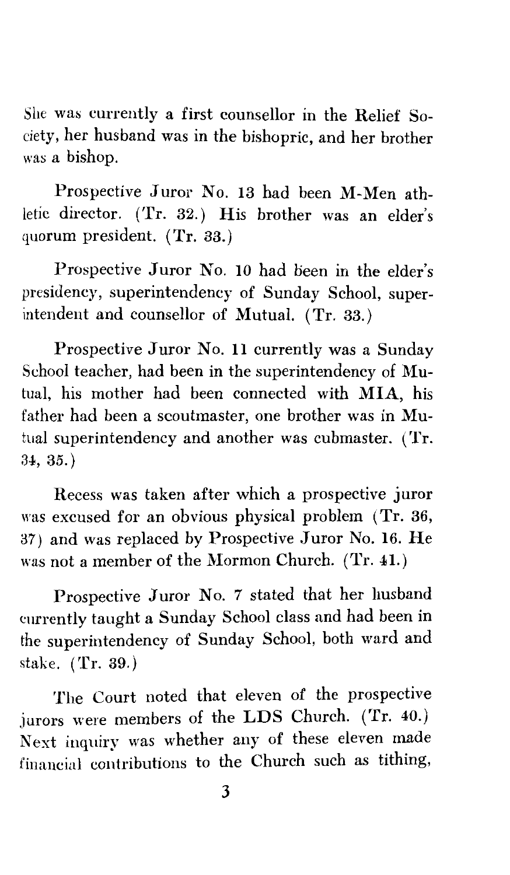She was currently a first counsellor in the Relief Society, her husband was in the bishopric, and her brother was a bishop.

Prospective Juror No. 13 had been M-Men athletic director. (Tr. 32.) His brother was an elder's quorum president. (Tr. 33.)

Prospective Juror No. 10 had been in the elder's presidency, superintendency of Sunday School, superintendent and counsellor of Mutual. (Tr. 33.)

Prospective Juror No. 11 currently was a Sunday School teacher, had been in the superintendency of Mutual, his mother had been connected with MIA, his father had been a scoutmaster, one brother was in Mutual superintendency and another was cubmaster. (Tr. 34, 35.)

Recess was taken after which a prospective juror was excused for an obvious physical problem (Tr. 36, 37) and was replaced by Prospective Juror No. 16. He was not a member of the Mormon Church. (Tr. 41.)

Prospective Juror No. 7 stated that her husband currently taught a Sunday School class and had been in the superintendency of Sunday School, both ward and stake. (Tr. 39.)

The Court noted that eleven of the prospective jurors were members of the LDS Church. (Tr. 40.) Next inquiry was whether any of these eleven made financial contributions to the Church such as tithing,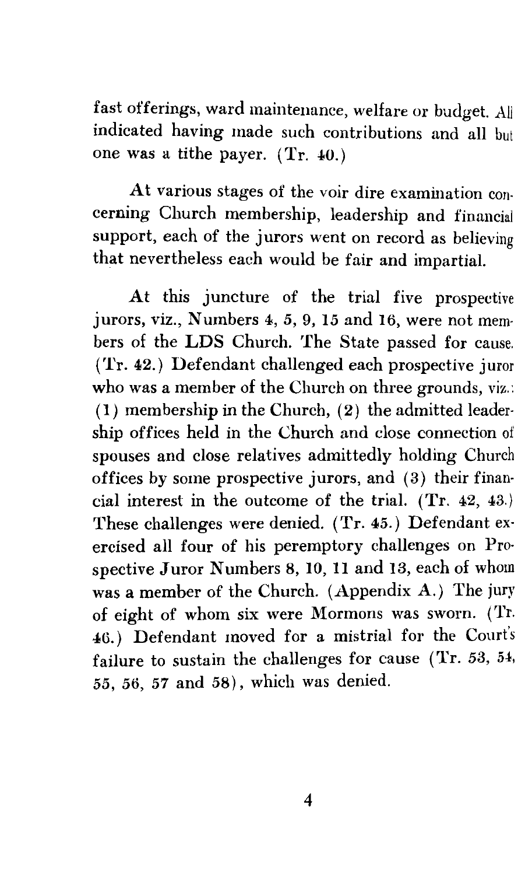fast offerings, ward maintenance, welfare or budget. All indicated having made such contributions and all but one was a tithe payer. (Tr. 40.)

At various stages of the voir dire examination con· cerning Church membership, leadership and financial support, each of the jurors went on record as believing that nevertheless each would be fair and impartial.

At this juncture of the trial five prospective jurors, viz., Numbers 4, *5,* 9, 15 and 16, were not mem· hers of the LDS Church. The State passed for cause. (Tr. 42.) Defendant challenged each prospective juror who was a member of the Church on three grounds, viz.:  $(1)$  membership in the Church,  $(2)$  the admitted leadership offices held in the Church and close connection of spouses and close relatives admittedly holding Church offices by some prospective jurors, and (3) their financial interest in the outcome of the trial. (Tr. 42, 43.) These challenges were denied. (Tr. 45.) Defendant exercised all four of his peremptory challenges on Prospective Juror Numbers 8, 10, 11 and 13, each of whom was a member of the Church. (Appendix A.) The jury of eight of whom six were Mormons was sworn. (Tr. 46.) Defendant moved for a mistrial for the Court's failure to sustain the challenges for cause (Tr. 53, 54, *55, 56, 57* and 58), which was denied.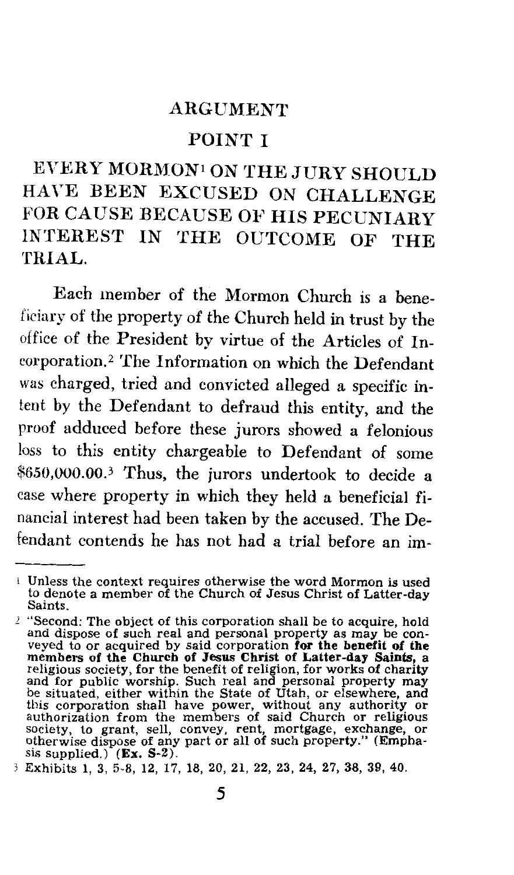#### ARGUMENT

#### POINT I

EVERY MORMON1 ON THE JURY SHOULD HAVE BEEN EXCUSED ON CHALLENGE FOR CAUSE BECAUSE OF HIS PECUNIARY INTEREST IN THE OUTCOME OF THE TRIAL.

Each member of the Mormon Church is a beneficiary of the property of the Church held in trust by the office of the President by virtue of the Articles of Incorporation.<sup>2</sup> The Information on which the Defendant was charged, tried and convicted alleged a specific intent by the Defendant to defraud this entity, and the proof adduced before these jurors showed a felonious loss to this entity chargeable to Defendant of some \$650,000.00.3 Thus, the jurors undertook to decide a case where property in which they held a beneficial financial interest had been taken by the accused. The Defendant contends he has not had a trial before an im-

<sup>1</sup> Unless the context requires otherwise the word Mormon is used to denote a member of the Church of Jesus Christ of Latter-day Saints.

<sup>&</sup>lt;sup>2</sup> "Second: The object of this corporation shall be to acquire, hold and dispose of such real and personal property as may be con-<br>veyed to or acquired by said corporation for the benefit of the members of the Church of Jesus Christ of Latter-day Saints, a religious society, for the benefit of religion, for works of charity and for public worship. Such real and personal property may be situated, either within the this corporation shall have power, without any authority or<br>authorization from the members of said Church or religious<br>society, to grant, sell, convey, rent, mortgage, exchange, or<br>otherwise dispose of any part or all of s sis supplied.) (Ex. S-2).

<sup>3</sup> Exhibits 1, 3, 5-8, 12, 17, 18, 20, 21, 22, 23, 24, 27, 38, 39, 40.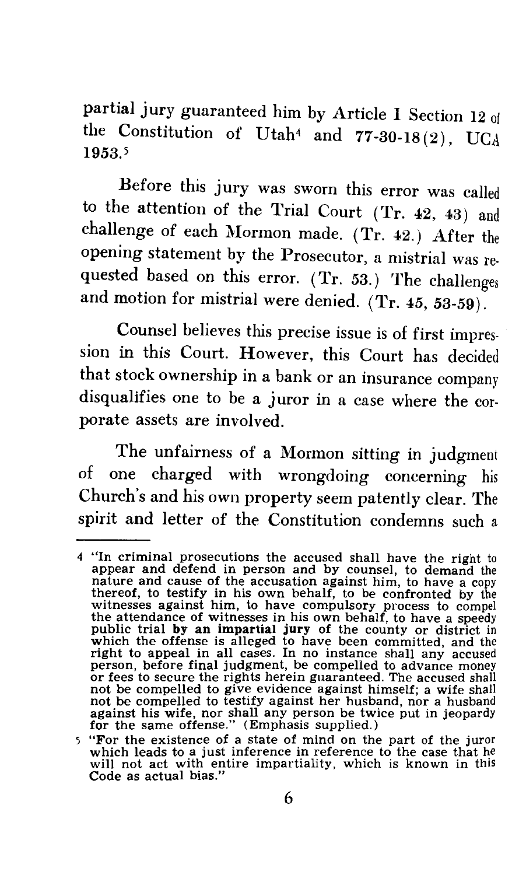partial jury guaranteed him by Article I Section 12 of the Constitution of Utah4 and 77-30-18 (2), UCA 1953.5

Before this jury was sworn this error was called to the attention of the Trial Court (Tr. 42, 43) and challenge of each Mormon made. (Tr. 42.) After the opening statement by the Prosecutor, a mistrial was re· quested based on this error. (Tr. 53.) The challenges and motion for mistrial were denied. (Tr. 45, 53-59).

Counsel believes this precise issue is of first impression in this Court. However, this Court has decided that stock ownership in a bank or an insurance company disqualifies one to be a juror in a case where the corporate assets are involved.

The unfairness of a Mormon sitting in judgment of one charged with wrongdoing concerning his Church's and his own property seem patently clear. The spirit and letter of the Constitution condemns such a

<sup>4 &</sup>quot;In criminal prosecutions the accused shall have the right to appear and defend in person and by counsel, to demand the nature and cause of the accusation against him, to have a copy thereof, to testify in his own behalf, to be confronted by the witnesses against him, to have compulsory process to compel the attendance of witnesses in his own behalf, to have a speedy public trial by an impartial jury of the county or district in which the offense is alleged to have been committed, and the right to appeal in all cases. In no instance shall any accused person, before final judgment, be compelled to advance money or fees to secure the rights herein guaranteed. The accused shall not be compelled to give evidence against himself; a wife shall not be compelled to testify against her husband, nor a husband against his wife, nor shall any person be twice put in jeopardy for the same offense." (Emphasis supplied.)

<sup>5 &</sup>quot;For the existence of a state of mind on the part of the juror which leads to a just inference in reference to the case that will not act with entire impartiality, which is known in this Code as actual bias."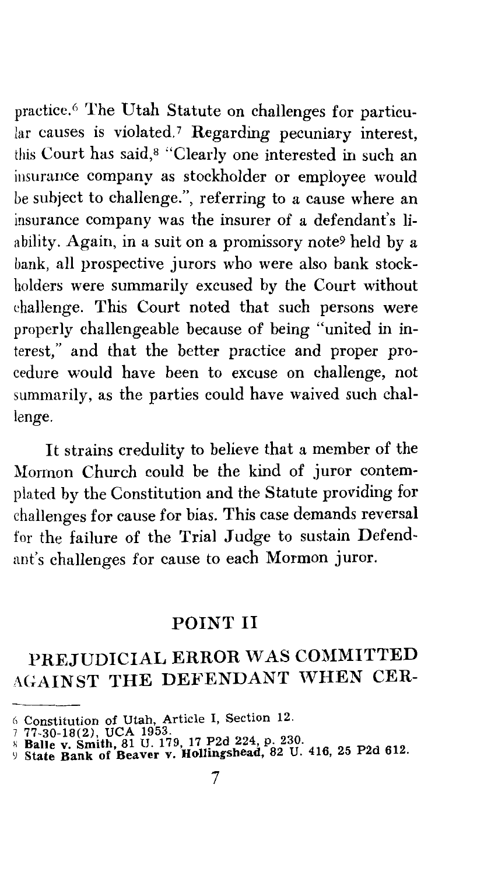practice. 6 The Utah Statute on challenges for particular causes is violated.<sup>7</sup> Regarding pecuniary interest, this Court has said, 8 "Clearly one interested in such an insurance company as stockholder or employee would be subject to challenge.", referring to a cause where an insurance company was the insurer of a defendant's liability. Again, in a suit on a promissory note9 held by a bank, all prospective jurors who were also bank stockholders were summarily excused by the Court without challenge. This Court noted that such persons were properly challengeable because of being "united in interest," and that the better practice and proper procedure would have been to excuse on challenge, not summarily, as the parties could have waived such challenge.

It strains credulity to believe that a member of the Mormon Church could be the kind of juror contemplated by the Constitution and the Statute providing for challenges for cause for bias. This case demands reversal for the failure of the Trial Judge to sustain Defendant's challenges for cause to each Mormon juror.

#### POINT II

## PREJUDICIAL ERROR WAS COMMITTED AGAINST THE DEFENDANT WHEN CER-

<sup>6</sup> Constitution of Utah, Article I, Section 12.

<sup>77-30-18(2),</sup> UCA 1953.<br>8 Balle v. Smith, 81 U. 179, 17 P2d 224, p. 230.<br>9 State Bank of Beaver v. Hollingshead, 82 U. 416, 25 P2d 612.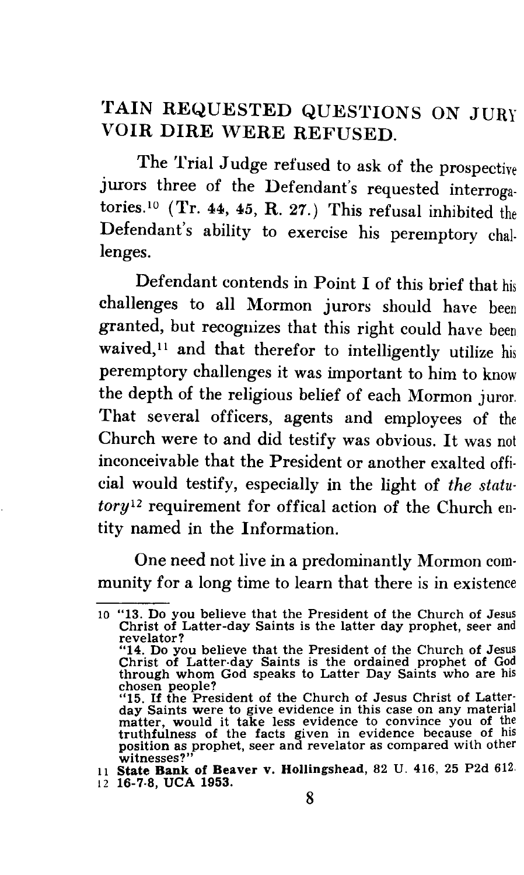## TAIN REQUESTED QUESTIONS ON JURY VOIR DIRE WERE REFUSED.

The Trial Judge refused to ask of the prospective jurors three of the Defendant's requested interrogatories.<sup>10</sup> (Tr. 44, 45, R. 27.) This refusal inhibited the Defendant's ability to exercise his peremptory challenges.

Defendant contends in Point I of this brief that his challenges to all Mormon jurors should have been granted, but recognizes that this right could have been waived,<sup>11</sup> and that therefor to intelligently utilize his peremptory challenges it was important to him to know the depth of the religious belief of each Mormon juror. That several officers, agents and employees of the Church were to and did testify was obvious. It was not inconceivable that the President or another exalted offi. cial would testify, especially in the light of *the statu·*  tory<sup>12</sup> requirement for offical action of the Church entity named in the Information.

One need not live in a predominantly Mormon community for a long time to learn that there is in existence

<sup>10 &</sup>quot;13. Do you believe that the President of the Church of Jesus Christ of Latter-day Saints is the latter day prophet, seer and revelator? "14. Do you believe that the President of the Church of Jesus Christ of Latter-day Saints is the ordained prophet of God through whom God speaks to Latter Day Saints who are his

chosen people?<br>"15. If the President of the Church of Jesus Christ of Latter-<br>day Saints were to give evidence in this case on any material<br>matter, would it take less evidence to convince you of the truthftilness of the facts given in evidence because of his position as prophet, seer and revelator as compared with other witnesses?"

<sup>11</sup>State Bank of Beaver v. Hollingshead, 82 U. 416, 25 P2d 612. 12 16-7-8, UCA 1953.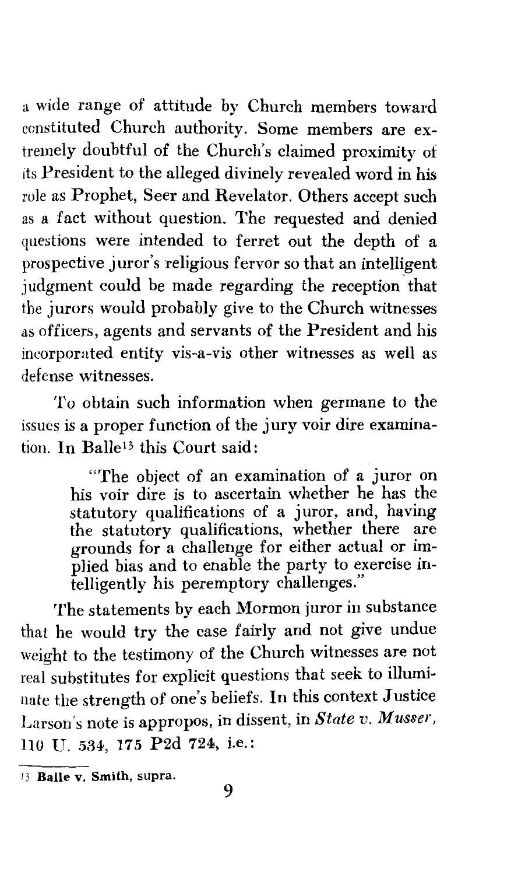a wide range of attitude by Church members toward constituted Church authority. Some members are extremely doubtful of the Church's claimed proximity of its President to the alleged divinely revealed word in his role as Prophet, Seer and Revelator. Others accept such as a fact without question. The requested and denied questions were intended to ferret out the depth of a prospective juror's religious fervor so that an intelligent judgment could be made regarding the reception that the jurors would probably give to the Church witnesses as officers, agents and servants of the President and his ineorporated entity vis-a-vis other witnesses as well as defense witnesses.

To obtain such information when germane to the issues is a proper function of the jury voir dire examination. In Balle13 this Court said:

> "The object of an examination of a juror on his voir dire is to ascertain whether he has the statutory qualifications of a juror, and, having the statutory qualifications, whether there are grounds for a challenge for either actual or implied bias and to enable the party to exercise intelligently his peremptory challenges."

The statements by each Mormon juror in substance that he would try the case fairly and not give undue weight to the testimony of the Church witnesses are not real substitutes for explicit questions that seek to illuminate the strength of one's beliefs. In this context Justice Larson's note is appropos, in dissent, in *State v. Musser,*  110 U. 534, 175 P2d 724, i.e.:

<sup>13</sup> Balle v. Smith, supra.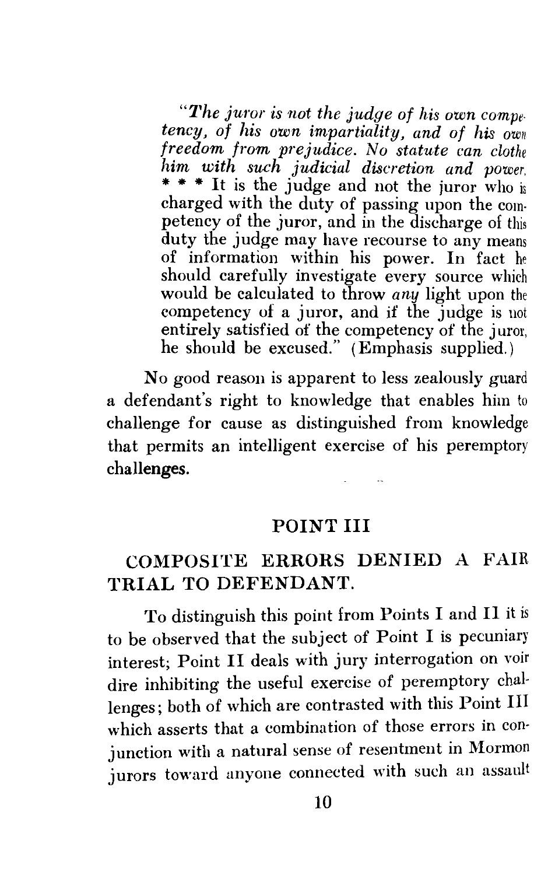*"1'he juror is not the judge of his own competency, of his own impartiality, and of his own freedom from prejudice. No statute can clothe him with such judicial discretion and power.*  \* \* \* It is the judge and not the juror who is charged with the duty of passing upon the competency of the juror, and in the discharge of this duty the judge may have recourse to any means of information within his power. In fact he should carefully investigate every source which would be calculated to throw *any* light upon the competency of a juror, and if the judge is not entirely satisfied of the competency of the juror, he should be excused." (Emphasis supplied.)

No good reason is apparent to less zealously guard a defendant's right to knowledge that enables him to challenge for cause as distinguished from knowledge that permits an intelligent exercise of his peremptory challenges.

#### POINT III

#### COMPOSITE ERRORS DENIED A FAIR TRIAL TO DEFENDANT.

To distinguish this point from Points I and II it is to be observed that the subject of Point I is pecuniary interest; Point II deals with jury interrogation on voir dire inhibiting the useful exercise of peremptory challenges; both of which are contrasted with this Point III which asserts that a combination of those errors in conjunction with a natural sense of resentment in Mormon jurors toward anyone connected with such an assault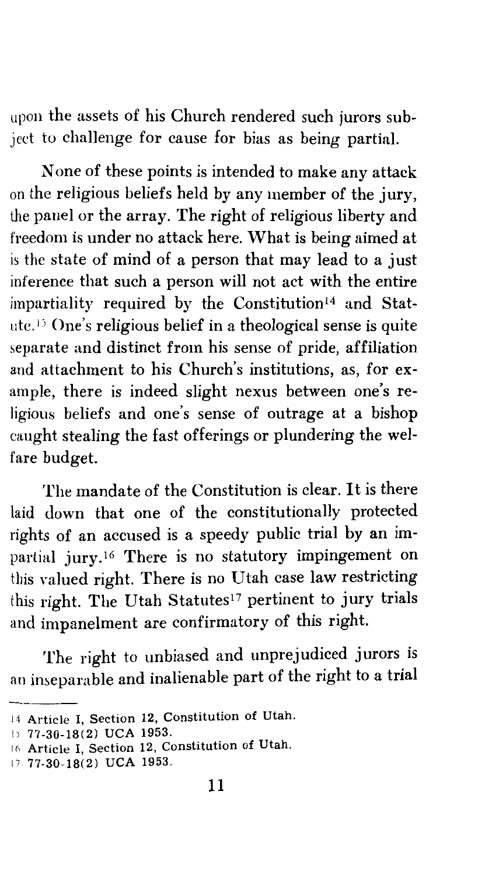upon the assets of his Church rendered such jurors subject to challenge for cause for bias as being partial.

None of these points is intended to make any attack on the religious beliefs held by any member of the jury, the panel or the array. The right of religious liberty and freedom is under no attack here. What is being aimed at is the state of mind of a person that may lead to a just inference that such a person will not act with the entire impartiality required by the Constitution 14 and Statute.<sup>13</sup> One's religious belief in a theological sense is quite separate and distinct from his sense of pride, affiliation and attachment to his Church's institutions, as, for example, there is indeed slight nexus between one's religious beliefs and one's sense of outrage at a bishop caught stealing the fast offerings or plundering the welfare budget.

The mandate of the Constitution is clear. It is there laid down that one of the constitutionally protected rights of an accused is a speedy public trial by an impartial jury.16 There is no statutory impingement on this valued right. There is no Utah case law restricting this right. The Utah Statutes<sup>17</sup> pertinent to jury trials and impanelment are confirmatory of this right.

The right to unbiased and unprejudiced jurors is an inseparable and inalienable part of the right to a trial

<sup>14</sup>Article I, Section 12, Constitution of Utah.

I) 77-30-18(2) UCA 1953.

<sup>16</sup> Article I, Section 12, Constitution of Utah.

<sup>17 77-30-18(2)</sup> UCA 1953.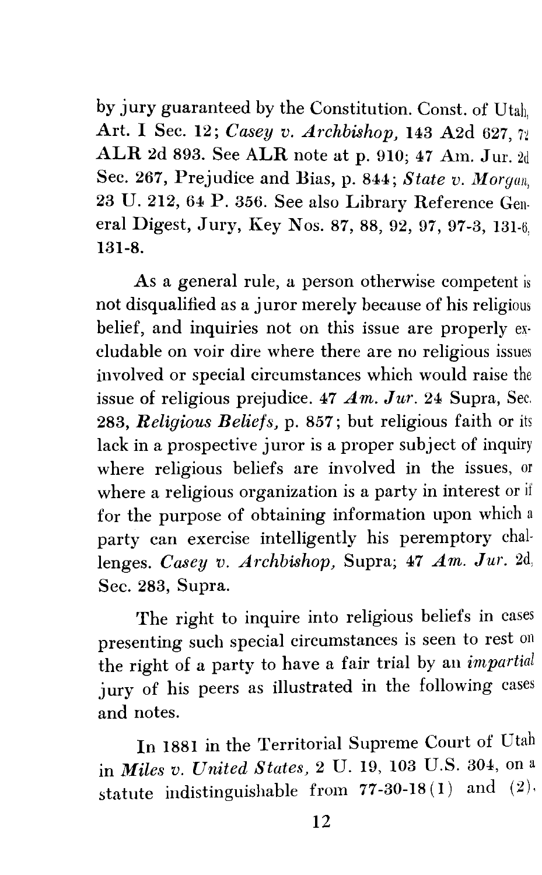by jury guaranteed by the Constitution. Const. of Utah, Art. I Sec. 12; *Casey v. Archbishop,* 143 A2d 627, 7i  $\text{ALR}$  2d 893. See ALR note at p. 910; 47 Am. Jur. 2d Sec. 267, Prejudice and Bias, p. 844; *State v. Morgan,*  23 U. 212, 64 P. 356. See also Library Reference General Digest, Jury, Key Nos. 87, 88, 92, 97, 97-3, 131-6. 131-8.

As a general rule, a person otherwise competent is not disqualified as a juror merely because of his religious belief, and inquiries not on this issue are properly ex· cludable on voir dire where there are no religious issues involved or special circumstances which would raise the issue of religious prejudice. 47 *Am. Jur.* 24 Supra, Sec. 283, *Religious Beliefs,* p. 857; but religious faith or its lack in a prospective juror is a proper subject of inquiry where religious beliefs are involved in the issues, or where a religious organization is a party in interest or if for the purpose of obtaining information upon which a party can exercise intelligently his peremptory challenges. *Casey v. Archbishop,* Supra; 47 *Am. Jur.* 2d; Sec. 283, Supra.

The right to inquire into religious beliefs in cases presenting such special circumstances is seen to rest on the right of a party to have a fair trial by an *impartial*  jury of his peers as illustrated in the following cases and notes.

In 1881 in the Territorial Supreme Court of Utah in *Miles v. United States,* 2 U. 19, 103 U.S. 304, on a statute indistinguishable from 77-30-18(1) and (2).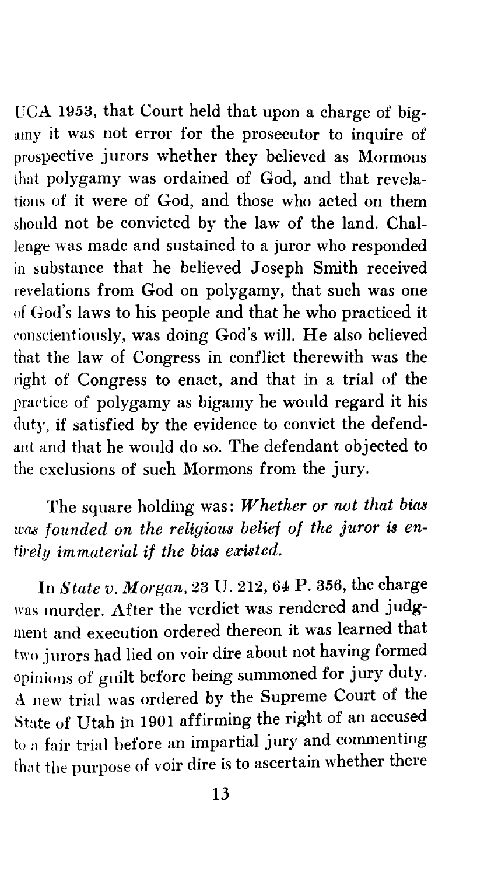UCA 1953, that Court held that upon a charge of bigamy it was not error for the prosecutor to inquire of prospective jurors whether they believed as Mormons that polygamy was ordained of God, and that revelations of it were of God, and those who acted on them should not be convicted by the law of the land. Challenge was made and sustained to a juror who responded in substance that he believed Joseph Smith received revelations from God on polygamy, that such was one of God's laws to his people and that he who practiced it conscientiously, was doing God's will. He also believed that the law of Congress in conflict therewith was the right of Congress to enact, and that in a trial of the practice of polygamy as bigamy he would regard it his duty, if satisfied by the evidence to convict the defendant and that he would do so. The defendant objected to the exclusions of such Mormons from the jury.

The square holding was: *Whether or not that bias was founded on the religious belief of the juror is entirely immaterial if the bias existed.* 

In *State v. Morgan,* 23 U. 212, 64 P. *356,* the charge was murder. After the verdict was rendered and judgment and execution ordered thereon it was learned that two jurors had lied on voir dire about not having formed opinions of guilt before being summoned for jury duty. A new trial was ordered by the Supreme Court of the State of Utah in 1901 affirming the right of an accused to a fair trial before an impartial jury and commenting that the purpose of voir dire is to ascertain whether there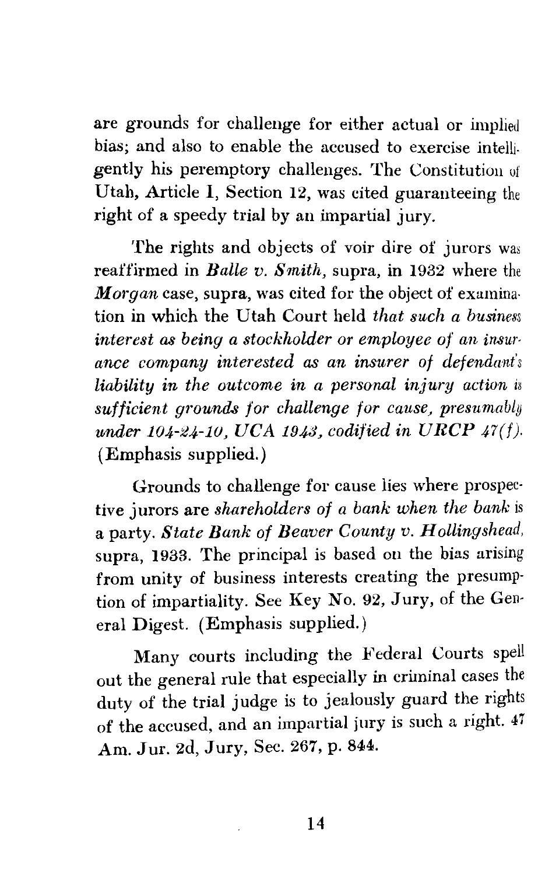are grounds for challenge for either actual or implied bias; and also to enable the accused to exercise intelligently his peremptory challenges. The Constitution of Utah, Article I, Section 12, was cited guaranteeing the right of a speedy trial by an impartial jury.

The rights and objects of voir dire of jurors was reaffirmed in *Balle v. Smith,* supra, in 1932 where the *Morgan* case, supra, was cited for the object of examination in which the Utah Court held *that such a business interest as being a stockholder or employee of an insurance company interested as an insurer of defendant's liability in the outcome in a personal injury action is sufficient grounds for challenge for cause, presumably under 104-24-10, UCA 1943, codified in URCP 47(f).* (Emphasis supplied.)

Grounds to challenge for cause lies where prospective jurors are *shareholders of a bank when the bank* is a party. *State Bank of Beaver County v. Hollingshead,*  supra, 1933. The principal is based on the bias arising from unity of business interests creating the presumption of impartiality. See Key No. 92, Jury, of the General Digest. (Emphasis supplied.)

Many courts including the Federal Courts spell out the general rule that especially in criminal cases the duty of the trial judge is to jealously guard the rights of the accused, and an impartial jury is such a right. 47 Am. Jur. 2d, Jury, Sec. 267, p. 844.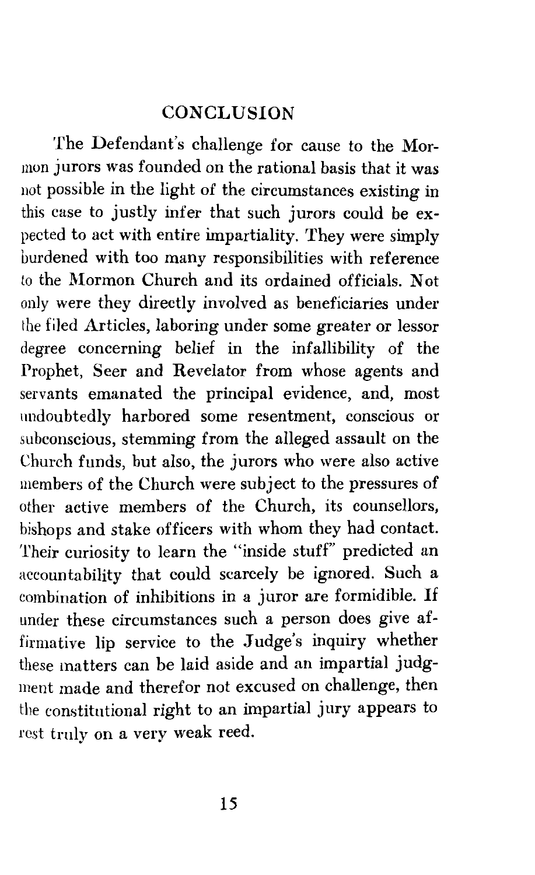#### **CONCLUSION**

The Defendant's challenge for cause to the Mormon jurors was founded on the rational basis that it was not possible in the light of the circumstances existing in this case to justly infer that such jurors could be expected to act with entire impartiality. They were simply burdened with too many responsibilities with reference to the Mormon Church and its ordained officials. Not only were they directly involved as beneficiaries under the filed Articles, laboring under some greater or lessor degree concerning belief in the infallibility of the Prophet, Seer and Revelator from whose agents and servants emanated the principal evidence, and, most undoubtedly harbored some resentment, conscious or subconscious, stemming from the alleged assault on the Church funds, but also, the jurors who were also active members of the Church were subject to the pressures of other active members of the Church, its counsellors, bishops and stake officers with whom they had contact. Their curiosity to learn the "inside stuff" predicted an accountability that could scarcely be ignored. Such a combination of inhibitions in a juror are formidible. If under these circumstances such a person does give affirmative lip service to the Judge's inquiry whether these matters can be laid aside and an impartial judgment made and therefor not excused on challenge, then the constitutional right to an impartial jury appears to rest truly on a very weak reed.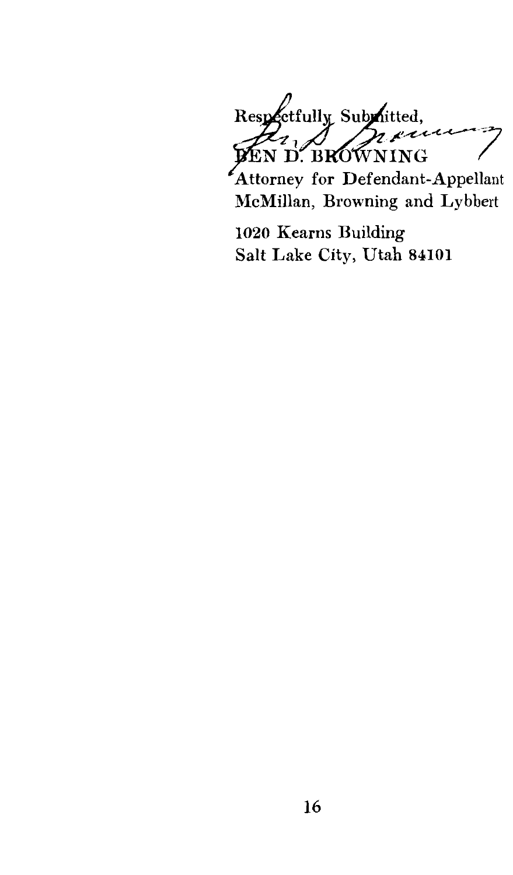Respectfully Submitted, **RET** 

Attorney for Defendant-Appellant McMillan, Browning and Lybbert

1020 Kearns Building Salt Lake City, Utah 84101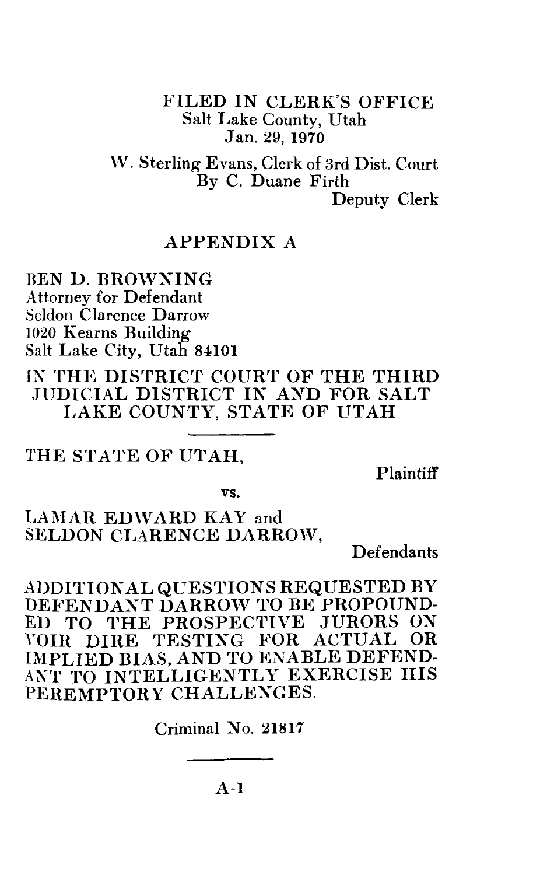FILED IN CLERK'S OFFICE Salt Lake County, Utah Jan. 29, 1970

W. Sterling Evans, Clerk of 3rd Dist. Court By C. Duane Firth Deputy Clerk

#### APPENDIX A

BEN D. BROWNING Attorney for Defendant Seldon Clarence Darrow 1020 Kearns Building Salt Lake City, Utah 84101

IN THE DISTRICT COURT OF THE THIRD JUDICIAL DISTRICT IN AND FOR SALT LAKE COUNTY, STATE OF UTAH

#### THE STATE OF UTAH,

Plaintiff

vs.

#### LAMAR EDWARD KAY and SELDON CLARENCE DARROW,

Defendants

ADDITIONAL QUESTIONS REQUESTED BY DEFENDANT DARROW TO BE PROPOUND-ED TO THE PROSPECTIVE JURORS ON YOIR DIRE TESTING FOR ACTUAL OR IMPLIED BIAS, AND TO ENABLE DEFEND-ANT TO INTELLIGENTLY EXERCISE HIS PEREMPTORY CHALLENGES.

Criminal No. 21817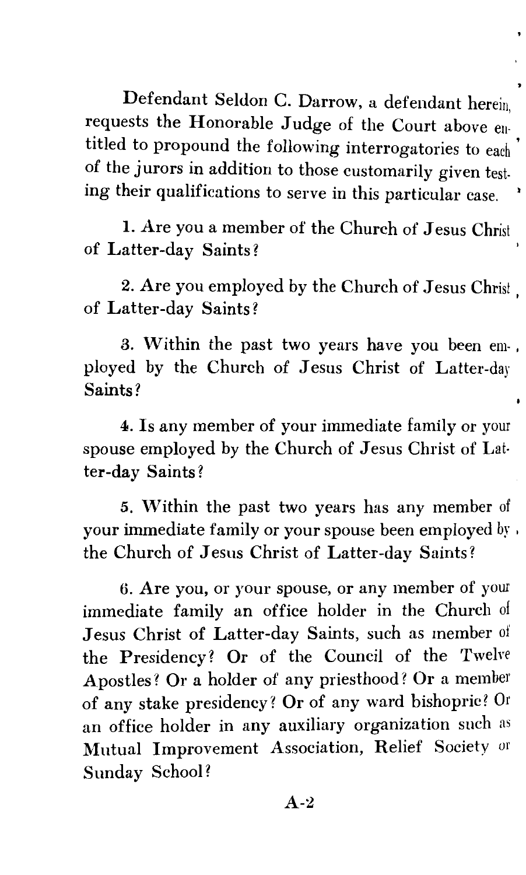Defendant Seldon C. Darrow, a defendant herein, requests the Honorable Judge of the Court above entitled to propound the following interrogatories to each ' of the jurors in addition to those customarily given testing their qualifications to serve in this particular case.

1. Are you a member of the Church of Jesus Christ of Latter-day Saints?

2. Are you employed by the Church of Jesus Christ of Latter-day Saints? '

3. Within the past two years have you been em-, ployed by the Church of Jesus Christ of Latter-day Saints?

4. Is any member of your immediate family or your spouse employed by the Church of Jesus Christ of Latter-day Saints?

5. Within the past two years has any member of your immediate family or your spouse been employed by, the Church of Jesus Christ of Latter-day Saints?

*6.* Are you, or your spouse, or any member of your immediate family an office holder in the Church of Jesus Christ of Latter-day Saints, such as member of the Presidency? Or of the Council of the Twelve Apostles? Or a holder of any priesthood? Or a member of any stake presidency? Or of any ward bishopric? Or an office holder in any auxiliary organization such as Mutual Improvement Association, Relief Society or Sunday School?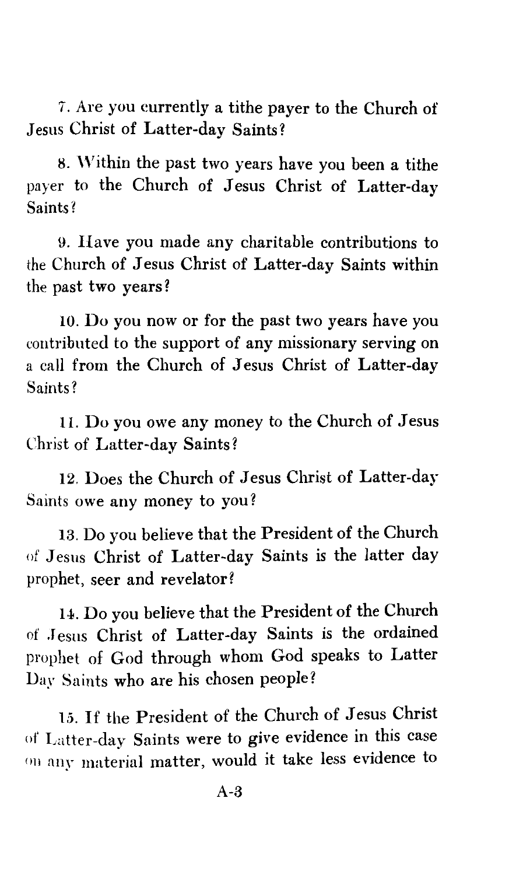7. Are you currently a tithe payer to the Church of Jesus Christ of Latter-day Saints?

8. Within the past two years have you been a tithe payer to the Church of Jesus Christ of Latter-day Saints?

9. Have you made any charitable contributions to the Church of Jesus Christ of Latter-day Saints within the past two years?

10. Do you now or for the past two years have you contributed to the support of any missionary serving on a call from the Church of Jesus Christ of Latter-day Saints?

11. Do you owe any money to the Church of Jesus Christ of Latter-day Saints?

12. Does the Church of Jesus Christ of Latter-day Saints owe any money to you?

13. Do you believe that the President of the Church of Jesus Christ of Latter-day Saints is the latter day prophet, seer and revelator?

14. Do you believe that the President of the Church of Jesus Christ of Latter-day Saints is the ordained prophet of God through whom God speaks to Latter Day Saints who are his chosen people?

15. If the President of the Church of Jesus Christ of Latter-day Saints were to give evidence in this case <sup>011</sup>any material matter, would it take less evidence to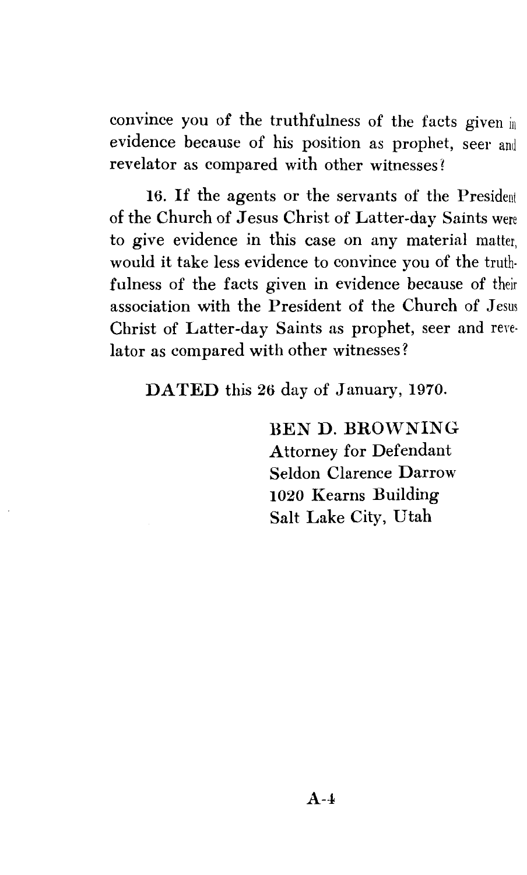convince you of the truthfulness of the facts given in evidence because of his position as prophet, seer and revelator as compared with other witnesses?

16. If the agents or the servants of the President of the Church of Jesus Christ of Latter-day Saints were to give evidence in this case on any material matter, would it take less evidence to convince you of the truthfulness of the facts given in evidence because of their association with the President of the Church of Jesus Christ of Latter-day Saints as prophet, seer and reyelator as compared with other witnesses?

DATED this 26 day of January, 1970.

BEN D. BROWNING Attorney for Defendant Seldon Clarence Darrow 1020 Kearns Building Salt Lake City, Utah